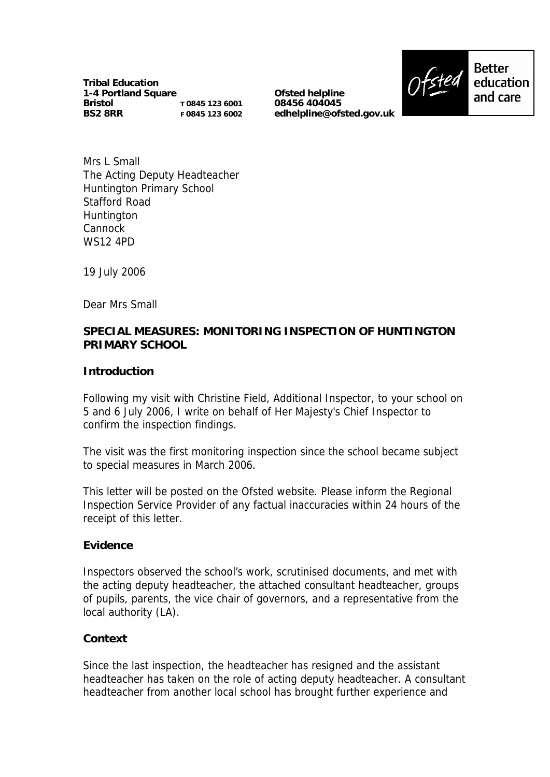**Tribal Education 1-4 Portland Square Bristol BS2 8RR T 0845 123 6001 F 0845 123 6002**

**Ofsted helpline 08456 404045 edhelpline@ofsted.gov.uk**



Mrs L Small The Acting Deputy Headteacher Huntington Primary School Stafford Road **Huntington** Cannock WS12 4PD

19 July 2006

Dear Mrs Small

# **SPECIAL MEASURES: MONITORING INSPECTION OF HUNTINGTON PRIMARY SCHOOL**

**Introduction**

Following my visit with Christine Field, Additional Inspector, to your school on 5 and 6 July 2006, I write on behalf of Her Majesty's Chief Inspector to confirm the inspection findings.

The visit was the first monitoring inspection since the school became subject to special measures in March 2006.

This letter will be posted on the Ofsted website. Please inform the Regional Inspection Service Provider of any factual inaccuracies within 24 hours of the receipt of this letter.

**Evidence**

Inspectors observed the school's work, scrutinised documents, and met with the acting deputy headteacher, the attached consultant headteacher, groups of pupils, parents, the vice chair of governors, and a representative from the local authority (LA).

### **Context**

Since the last inspection, the headteacher has resigned and the assistant headteacher has taken on the role of acting deputy headteacher. A consultant headteacher from another local school has brought further experience and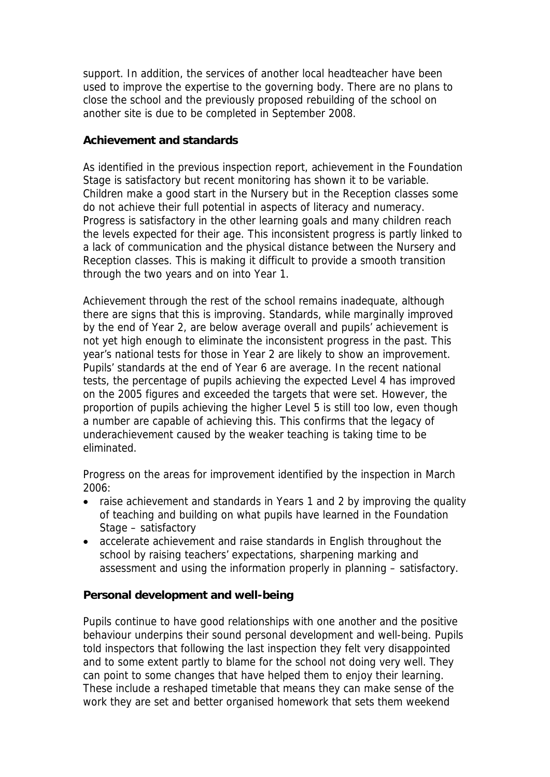support. In addition, the services of another local headteacher have been used to improve the expertise to the governing body. There are no plans to close the school and the previously proposed rebuilding of the school on another site is due to be completed in September 2008.

### **Achievement and standards**

As identified in the previous inspection report, achievement in the Foundation Stage is satisfactory but recent monitoring has shown it to be variable. Children make a good start in the Nursery but in the Reception classes some do not achieve their full potential in aspects of literacy and numeracy. Progress is satisfactory in the other learning goals and many children reach the levels expected for their age. This inconsistent progress is partly linked to a lack of communication and the physical distance between the Nursery and Reception classes. This is making it difficult to provide a smooth transition through the two years and on into Year 1.

Achievement through the rest of the school remains inadequate, although there are signs that this is improving. Standards, while marginally improved by the end of Year 2, are below average overall and pupils' achievement is not yet high enough to eliminate the inconsistent progress in the past. This year's national tests for those in Year 2 are likely to show an improvement. Pupils' standards at the end of Year 6 are average. In the recent national tests, the percentage of pupils achieving the expected Level 4 has improved on the 2005 figures and exceeded the targets that were set. However, the proportion of pupils achieving the higher Level 5 is still too low, even though a number are capable of achieving this. This confirms that the legacy of underachievement caused by the weaker teaching is taking time to be eliminated.

Progress on the areas for improvement identified by the inspection in March 2006:

- raise achievement and standards in Years 1 and 2 by improving the quality of teaching and building on what pupils have learned in the Foundation Stage – satisfactory
- accelerate achievement and raise standards in English throughout the school by raising teachers' expectations, sharpening marking and assessment and using the information properly in planning – satisfactory.

**Personal development and well-being**

Pupils continue to have good relationships with one another and the positive behaviour underpins their sound personal development and well-being. Pupils told inspectors that following the last inspection they felt very disappointed and to some extent partly to blame for the school not doing very well. They can point to some changes that have helped them to enjoy their learning. These include a reshaped timetable that means they can make sense of the work they are set and better organised homework that sets them weekend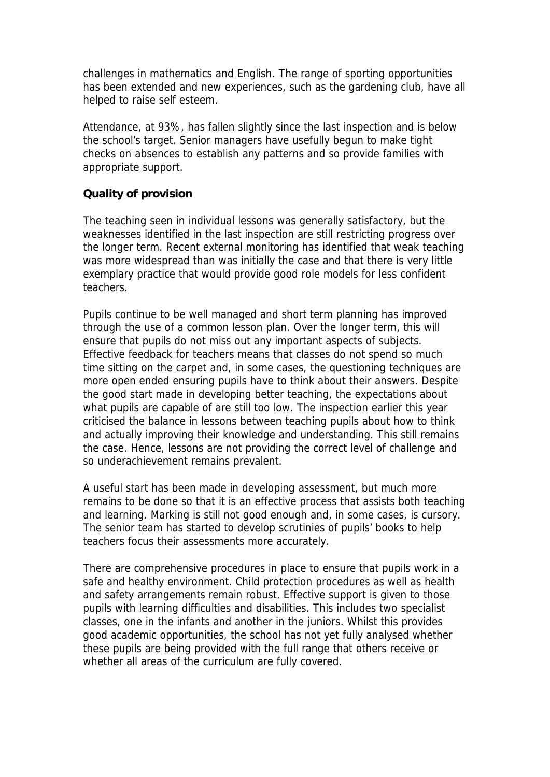challenges in mathematics and English. The range of sporting opportunities has been extended and new experiences, such as the gardening club, have all helped to raise self esteem.

Attendance, at 93%, has fallen slightly since the last inspection and is below the school's target. Senior managers have usefully begun to make tight checks on absences to establish any patterns and so provide families with appropriate support.

#### **Quality of provision**

The teaching seen in individual lessons was generally satisfactory, but the weaknesses identified in the last inspection are still restricting progress over the longer term. Recent external monitoring has identified that weak teaching was more widespread than was initially the case and that there is very little exemplary practice that would provide good role models for less confident teachers.

Pupils continue to be well managed and short term planning has improved through the use of a common lesson plan. Over the longer term, this will ensure that pupils do not miss out any important aspects of subjects. Effective feedback for teachers means that classes do not spend so much time sitting on the carpet and, in some cases, the questioning techniques are more open ended ensuring pupils have to think about their answers. Despite the good start made in developing better teaching, the expectations about what pupils are capable of are still too low. The inspection earlier this year criticised the balance in lessons between teaching pupils about how to think and actually improving their knowledge and understanding. This still remains the case. Hence, lessons are not providing the correct level of challenge and so underachievement remains prevalent.

A useful start has been made in developing assessment, but much more remains to be done so that it is an effective process that assists both teaching and learning. Marking is still not good enough and, in some cases, is cursory. The senior team has started to develop scrutinies of pupils' books to help teachers focus their assessments more accurately.

There are comprehensive procedures in place to ensure that pupils work in a safe and healthy environment. Child protection procedures as well as health and safety arrangements remain robust. Effective support is given to those pupils with learning difficulties and disabilities. This includes two specialist classes, one in the infants and another in the juniors. Whilst this provides good academic opportunities, the school has not yet fully analysed whether these pupils are being provided with the full range that others receive or whether all areas of the curriculum are fully covered.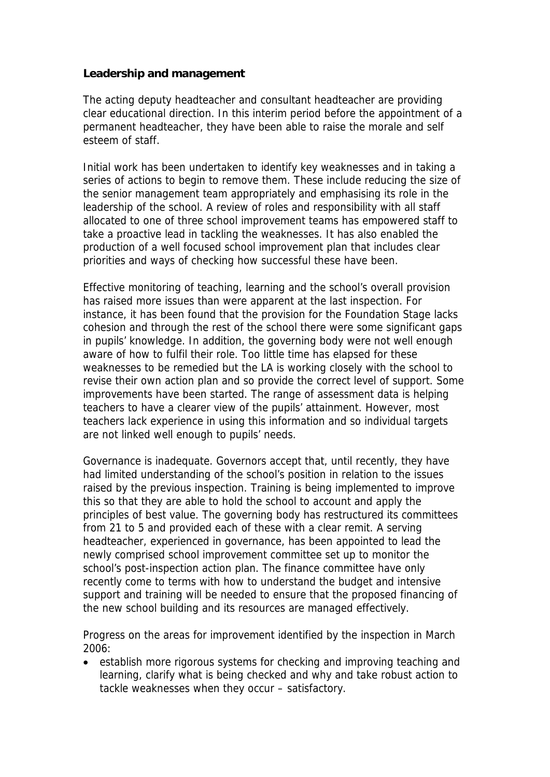**Leadership and management**

The acting deputy headteacher and consultant headteacher are providing clear educational direction. In this interim period before the appointment of a permanent headteacher, they have been able to raise the morale and self esteem of staff.

Initial work has been undertaken to identify key weaknesses and in taking a series of actions to begin to remove them. These include reducing the size of the senior management team appropriately and emphasising its role in the leadership of the school. A review of roles and responsibility with all staff allocated to one of three school improvement teams has empowered staff to take a proactive lead in tackling the weaknesses. It has also enabled the production of a well focused school improvement plan that includes clear priorities and ways of checking how successful these have been.

Effective monitoring of teaching, learning and the school's overall provision has raised more issues than were apparent at the last inspection. For instance, it has been found that the provision for the Foundation Stage lacks cohesion and through the rest of the school there were some significant gaps in pupils' knowledge. In addition, the governing body were not well enough aware of how to fulfil their role. Too little time has elapsed for these weaknesses to be remedied but the LA is working closely with the school to revise their own action plan and so provide the correct level of support. Some improvements have been started. The range of assessment data is helping teachers to have a clearer view of the pupils' attainment. However, most teachers lack experience in using this information and so individual targets are not linked well enough to pupils' needs.

Governance is inadequate. Governors accept that, until recently, they have had limited understanding of the school's position in relation to the issues raised by the previous inspection. Training is being implemented to improve this so that they are able to hold the school to account and apply the principles of best value. The governing body has restructured its committees from 21 to 5 and provided each of these with a clear remit. A serving headteacher, experienced in governance, has been appointed to lead the newly comprised school improvement committee set up to monitor the school's post-inspection action plan. The finance committee have only recently come to terms with how to understand the budget and intensive support and training will be needed to ensure that the proposed financing of the new school building and its resources are managed effectively.

Progress on the areas for improvement identified by the inspection in March 2006:

 establish more rigorous systems for checking and improving teaching and learning, clarify what is being checked and why and take robust action to tackle weaknesses when they occur – satisfactory.